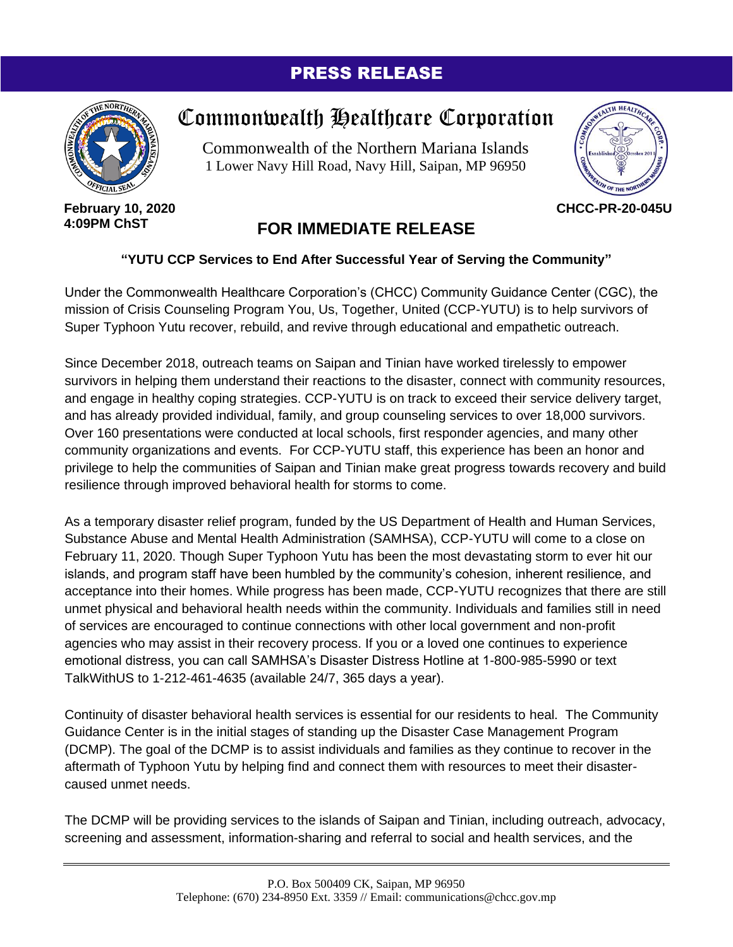## PRESS RELEASE



## Commonwealth Healthcare Corporation

Commonwealth of the Northern Mariana Islands 1 Lower Navy Hill Road, Navy Hill, Saipan, MP 96950



**February 10, 2020 4:09PM ChST**

## **FOR IMMEDIATE RELEASE**

## **"YUTU CCP Services to End After Successful Year of Serving the Community"**

Under the Commonwealth Healthcare Corporation's (CHCC) Community Guidance Center (CGC), the mission of Crisis Counseling Program You, Us, Together, United (CCP-YUTU) is to help survivors of Super Typhoon Yutu recover, rebuild, and revive through educational and empathetic outreach.

Since December 2018, outreach teams on Saipan and Tinian have worked tirelessly to empower survivors in helping them understand their reactions to the disaster, connect with community resources, and engage in healthy coping strategies. CCP-YUTU is on track to exceed their service delivery target, and has already provided individual, family, and group counseling services to over 18,000 survivors. Over 160 presentations were conducted at local schools, first responder agencies, and many other community organizations and events. For CCP-YUTU staff, this experience has been an honor and privilege to help the communities of Saipan and Tinian make great progress towards recovery and build resilience through improved behavioral health for storms to come.

As a temporary disaster relief program, funded by the US Department of Health and Human Services, Substance Abuse and Mental Health Administration (SAMHSA), CCP-YUTU will come to a close on February 11, 2020. Though Super Typhoon Yutu has been the most devastating storm to ever hit our islands, and program staff have been humbled by the community's cohesion, inherent resilience, and acceptance into their homes. While progress has been made, CCP-YUTU recognizes that there are still unmet physical and behavioral health needs within the community. Individuals and families still in need of services are encouraged to continue connections with other local government and non-profit agencies who may assist in their recovery process. If you or a loved one continues to experience emotional distress, you can call SAMHSA's Disaster Distress Hotline at 1-800-985-5990 or text TalkWithUS to 1-212-461-4635 (available 24/7, 365 days a year).

Continuity of disaster behavioral health services is essential for our residents to heal. The Community Guidance Center is in the initial stages of standing up the Disaster Case Management Program (DCMP). The goal of the DCMP is to assist individuals and families as they continue to recover in the aftermath of Typhoon Yutu by helping find and connect them with resources to meet their disastercaused unmet needs.

The DCMP will be providing services to the islands of Saipan and Tinian, including outreach, advocacy, screening and assessment, information-sharing and referral to social and health services, and the